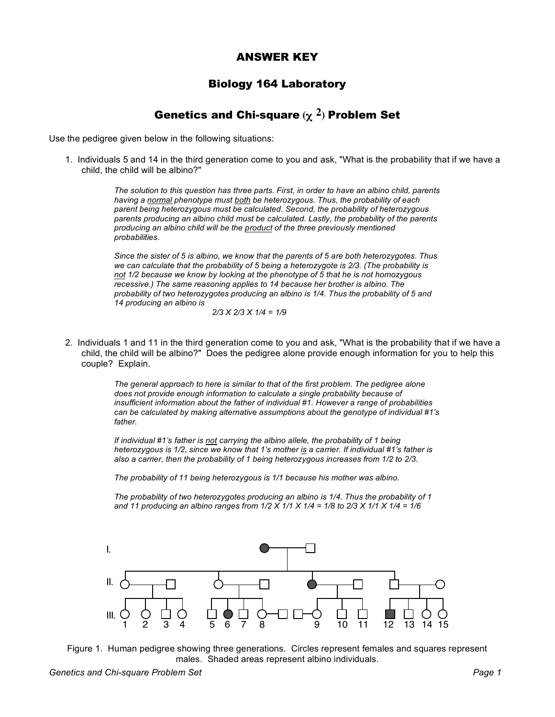## ANSWER KEY

## Biology 164 Laboratory

## Genetics and Chi-square **(**χ **2)** Problem Set

Use the pedigree given below in the following situations:

1. Individuals 5 and 14 in the third generation come to you and ask, "What is the probability that if we have a child, the child will be albino?"

> *The solution to this question has three parts. First, in order to have an albino child, parents having a normal phenotype must both be heterozygous. Thus, the probability of each parent being heterozygous must be calculated. Second, the probability of heterozygous parents producing an albino child must be calculated. Lastly, the probability of the parents producing an albino child will be the product of the three previously mentioned probabilities.*

> *Since the sister of 5 is albino, we know that the parents of 5 are both heterozygotes. Thus we can calculate that the probability of 5 being a heterozygote is 2/3. (The probability is not 1/2 because we know by looking at the phenotype of 5 that he is not homozygous recessive.) The same reasoning applies to 14 because her brother is albino. The probability of two heterozygotes producing an albino is 1/4. Thus the probability of 5 and 14 producing an albino is*

$$
2/3 \times 2/3 \times 1/4 = 1/9
$$

2. Individuals 1 and 11 in the third generation come to you and ask, "What is the probability that if we have a child, the child will be albino?" Does the pedigree alone provide enough information for you to help this couple? Explain.

> *The general approach to here is similar to that of the first problem. The pedigree alone does not provide enough information to calculate a single probability because of insufficient information about the father of individual #1. However a range of probabilities can be calculated by making alternative assumptions about the genotype of individual #1's father.*

*If individual #1's father is not carrying the albino allele, the probability of 1 being heterozygous is 1/2, since we know that 1's mother is a carrier. If individual #1's father is also a carrier, then the probability of 1 being heterozygous increases from 1/2 to 2/3.*

*The probability of 11 being heterozygous is 1/1 because his mother was albino.*

*The probability of two heterozygotes producing an albino is 1/4. Thus the probability of 1* and 11 producing an albino ranges from  $1/2$  X  $1/1$  X  $1/4$  =  $1/8$  to  $2/3$  X  $1/1$  X  $1/4$  =  $1/6$ 



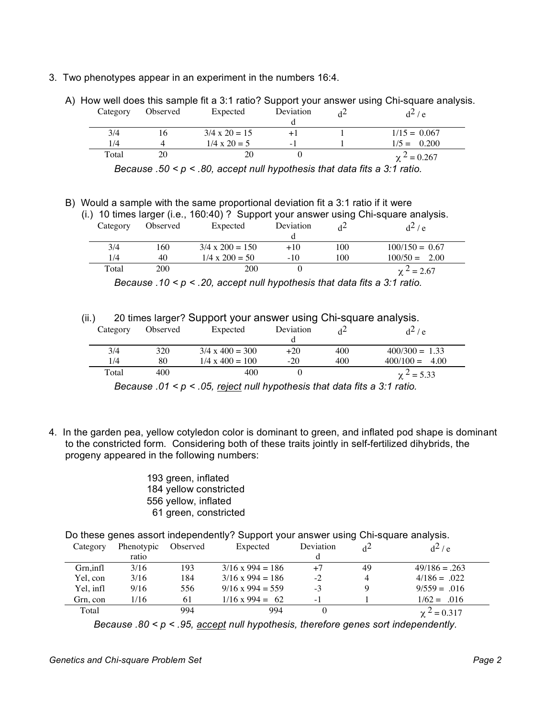- 3. Two phenotypes appear in an experiment in the numbers 16:4.
	- A) How well does this sample fit a 3:1 ratio? Support your answer using Chi-square analysis. erved Expected

| Category | Observed | Expected             | Deviation | $d^2/e$          |
|----------|----------|----------------------|-----------|------------------|
| 3/4      | 16       | $3/4 \times 20 = 15$ | $+1$      | $1/15 = 0.067$   |
| 1/4      |          | $1/4 \times 20 = 5$  | $-1$      | $1/5 = 0.200$    |
| Total    | 20       | 20                   |           | $\chi^2 = 0.267$ |

*Because .50 < p < .80, accept null hypothesis that data fits a 3:1 ratio.*

B) Would a sample with the same proportional deviation fit a 3:1 ratio if it were

|                                                                                      | <u>VYOUID A SAITIPIC WILLI LITE SAITIE PROPORTIONAL DEVIALION NIC A O. FTALIO II IL WEI E</u> |          |                        |           |     |                  |  |  |  |  |
|--------------------------------------------------------------------------------------|-----------------------------------------------------------------------------------------------|----------|------------------------|-----------|-----|------------------|--|--|--|--|
| (i.) 10 times larger (i.e., 160:40) ? Support your answer using Chi-square analysis. |                                                                                               |          |                        |           |     |                  |  |  |  |  |
|                                                                                      | Category                                                                                      | Observed | Expected               | Deviation |     | $d^2$ / e        |  |  |  |  |
|                                                                                      |                                                                                               |          |                        |           |     |                  |  |  |  |  |
|                                                                                      | 3/4                                                                                           | 160.     | $3/4 \times 200 = 150$ | $+10$     | 100 | $100/150 = 0.67$ |  |  |  |  |
|                                                                                      | 1/4                                                                                           | 40       | $1/4 \times 200 = 50$  | $-10$     | 100 | $100/50 = 2.00$  |  |  |  |  |
|                                                                                      | Total                                                                                         | 200      | 200                    |           |     | $\chi^2 = 2.67$  |  |  |  |  |

*Because .10 < p < .20, accept null hypothesis that data fits a 3:1 ratio.*

(ii.) 20 times larger? Support your answer using Chi-square analysis.

| Category | Observed | Expected               | Deviation |     | $d^2/e$          |
|----------|----------|------------------------|-----------|-----|------------------|
| 3/4      | 320      | $3/4 \times 400 = 300$ | $+20$     | 400 | $400/300 = 1.33$ |
| 1/4      | 80       | $1/4 \times 400 = 100$ | $-20$     | 400 | $400/100 = 4.00$ |
| Total    | 400      | 400                    |           |     | $\chi^2$ = 5.33  |

*Because .01 < p < .05, reject null hypothesis that data fits a 3:1 ratio.*

4. In the garden pea, yellow cotyledon color is dominant to green, and inflated pod shape is dominant to the constricted form. Considering both of these traits jointly in self-fertilized dihybrids, the progeny appeared in the following numbers:

> 193 green, inflated 184 yellow constricted 556 yellow, inflated 61 green, constricted

Do these genes assort independently? Support your answer using Chi-square analysis.

| Category  | Phenotypic | Observed | Expected                | Deviation |    | $d^2/e$          |
|-----------|------------|----------|-------------------------|-----------|----|------------------|
|           | ratio      |          |                         |           |    |                  |
| Grn, infl | 3/16       | 193      | $3/16 \times 994 = 186$ | $+7$      | 49 | $49/186 = .263$  |
| Yel, con  | 3/16       | 184      | $3/16 \times 994 = 186$ | $-2$      |    | $4/186 = .022$   |
| Yel. infl | 9/16       | 556      | $9/16 \times 994 = 559$ | $-3$      |    | $9/559 = .016$   |
| Grn, con  | 1/16       | 61       | $1/16 \times 994 = 62$  | $-1$      |    | $1/62 = 0.016$   |
| Total     |            | 994      | 994                     |           |    | $\chi^2 = 0.317$ |

*Because .80 < p < .95, accept null hypothesis, therefore genes sort independently.*